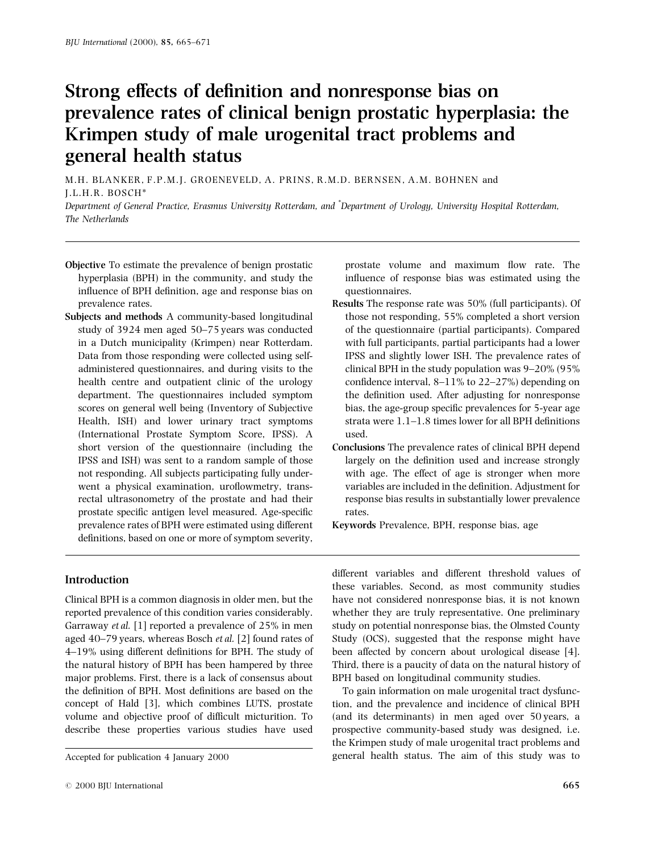# Strong effects of definition and nonresponse bias on prevalence rates of clinical benign prostatic hyperplasia: the Krimpen study of male urogenital tract problems and general health status

M.H. BLANKER, F.P.M.J. GROENEVELD, A. PRINS, R.M.D. BERNSEN, A.M. BOHNEN and J.L.H.R. BOSCH\*

Department of General Practice, Erasmus University Rotterdam, and \* Department of Urology, University Hospital Rotterdam, The Netherlands

- Objective To estimate the prevalence of benign prostatic hyperplasia (BPH) in the community, and study the influence of BPH definition, age and response bias on prevalence rates.
- Subjects and methods A community-based longitudinal study of 3924 men aged 50-75 years was conducted in a Dutch municipality (Krimpen) near Rotterdam. Data from those responding were collected using selfadministered questionnaires, and during visits to the health centre and outpatient clinic of the urology department. The questionnaires included symptom scores on general well being (Inventory of Subjective Health, ISH) and lower urinary tract symptoms (International Prostate Symptom Score, IPSS). A short version of the questionnaire (including the IPSS and ISH) was sent to a random sample of those not responding. All subjects participating fully underwent a physical examination, uroflowmetry, transrectal ultrasonometry of the prostate and had their prostate specific antigen level measured. Age-specific prevalence rates of BPH were estimated using different definitions, based on one or more of symptom severity,

prostate volume and maximum flow rate. The influence of response bias was estimated using the questionnaires.

- Results The response rate was 50% (full participants). Of those not responding, 55% completed a short version of the questionnaire (partial participants). Compared with full participants, partial participants had a lower IPSS and slightly lower ISH. The prevalence rates of clinical BPH in the study population was  $9-20\%$  (95%) confidence interval,  $8-11\%$  to  $22-27\%$ ) depending on the definition used. After adjusting for nonresponse bias, the age-group specific prevalences for 5-year age strata were  $1.1-1.8$  times lower for all BPH definitions used.
- Conclusions The prevalence rates of clinical BPH depend largely on the definition used and increase strongly with age. The effect of age is stronger when more variables are included in the definition. Adjustment for response bias results in substantially lower prevalence rates.
- Keywords Prevalence, BPH, response bias, age

# Introduction

Clinical BPH is a common diagnosis in older men, but the reported prevalence of this condition varies considerably. Garraway et al. [1] reported a prevalence of 25% in men aged  $40-79$  years, whereas Bosch *et al.* [2] found rates of  $4-19\%$  using different definitions for BPH. The study of the natural history of BPH has been hampered by three major problems. First, there is a lack of consensus about the definition of BPH. Most definitions are based on the concept of Hald [3], which combines LUTS, prostate volume and objective proof of difficult micturition. To describe these properties various studies have used

different variables and different threshold values of these variables. Second, as most community studies have not considered nonresponse bias, it is not known whether they are truly representative. One preliminary study on potential nonresponse bias, the Olmsted County Study (OCS), suggested that the response might have been affected by concern about urological disease [4]. Third, there is a paucity of data on the natural history of BPH based on longitudinal community studies.

To gain information on male urogenital tract dysfunction, and the prevalence and incidence of clinical BPH (and its determinants) in men aged over 50 years, a prospective community-based study was designed, i.e. the Krimpen study of male urogenital tract problems and Accepted for publication 4 January 2000 general health status. The aim of this study was to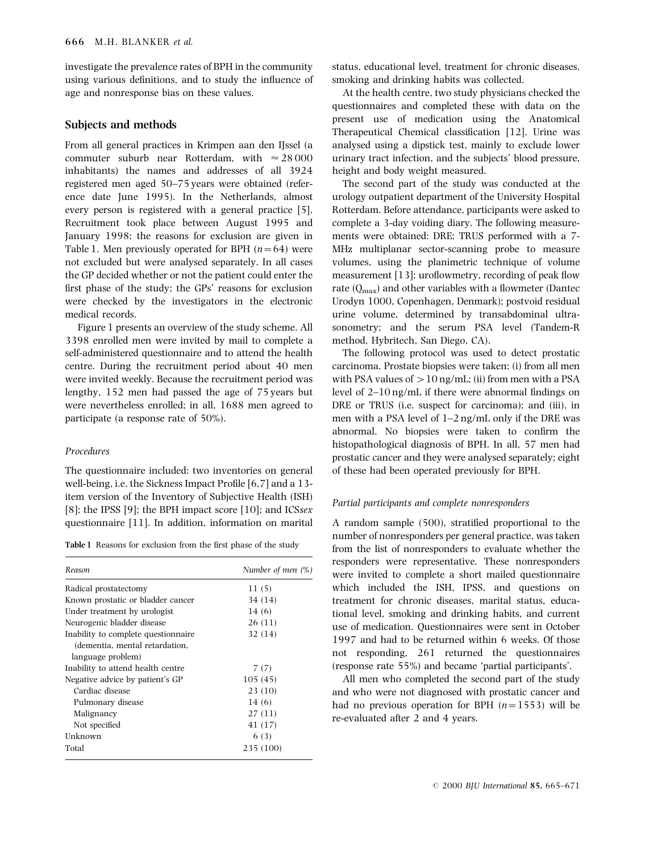investigate the prevalence rates of BPH in the community using various definitions, and to study the influence of age and nonresponse bias on these values.

# Subjects and methods

From all general practices in Krimpen aan den IJssel (a commuter suburb near Rotterdam, with  $\approx 28000$ inhabitants) the names and addresses of all 3924 registered men aged 50-75 years were obtained (reference date June 1995). In the Netherlands, almost every person is registered with a general practice [5]. Recruitment took place between August 1995 and January 1998; the reasons for exclusion are given in Table 1. Men previously operated for BPH  $(n=64)$  were not excluded but were analysed separately. In all cases the GP decided whether or not the patient could enter the first phase of the study; the GPs' reasons for exclusion were checked by the investigators in the electronic medical records.

Figure 1 presents an overview of the study scheme. All 3398 enrolled men were invited by mail to complete a self-administered questionnaire and to attend the health centre. During the recruitment period about 40 men were invited weekly. Because the recruitment period was lengthy, 152 men had passed the age of 75 years but were nevertheless enrolled; in all, 1688 men agreed to participate (a response rate of 50%).

#### Procedures

The questionnaire included: two inventories on general well-being, i.e. the Sickness Impact Profile  $[6,7]$  and a 13item version of the Inventory of Subjective Health (ISH) [8]; the IPSS [9]; the BPH impact score [10]; and ICSsex questionnaire [11]. In addition, information on marital

Table 1 Reasons for exclusion from the first phase of the study

| Reason                                                                | Number of men $(\%)$ |
|-----------------------------------------------------------------------|----------------------|
| Radical prostatectomy                                                 | 11(5)                |
| Known prostatic or bladder cancer                                     | 34 (14)              |
| Under treatment by urologist                                          | 14 (6)               |
| Neurogenic bladder disease                                            | 26(11)               |
| Inability to complete questionnaire<br>(dementia, mental retardation, | 32 (14)              |
| language problem)                                                     |                      |
| Inability to attend health centre                                     | 7 (7)                |
| Negative advice by patient's GP                                       | 105(45)              |
| Cardiac disease                                                       | 23(10)               |
| Pulmonary disease                                                     | 14 (6)               |
| Malignancy                                                            | 27(11)               |
| Not specified                                                         | 41 (17)              |
| Unknown                                                               | 6(3)                 |
| Total                                                                 | 235 (100)            |

status, educational level, treatment for chronic diseases, smoking and drinking habits was collected.

At the health centre, two study physicians checked the questionnaires and completed these with data on the present use of medication using the Anatomical Therapeutical Chemical classification [12]. Urine was analysed using a dipstick test, mainly to exclude lower urinary tract infection, and the subjects' blood pressure, height and body weight measured.

The second part of the study was conducted at the urology outpatient department of the University Hospital Rotterdam. Before attendance, participants were asked to complete a 3-day voiding diary. The following measurements were obtained: DRE; TRUS performed with a 7- MHz multiplanar sector-scanning probe to measure volumes, using the planimetric technique of volume measurement  $[13]$ ; uroflowmetry, recording of peak flow rate  $(0_{\text{max}})$  and other variables with a flowmeter (Dantec Urodyn 1000, Copenhagen, Denmark); postvoid residual urine volume, determined by transabdominal ultrasonometry; and the serum PSA level (Tandem-R method, Hybritech, San Diego, CA).

The following protocol was used to detect prostatic carcinoma. Prostate biopsies were taken; (i) from all men with PSA values of  $>10$  ng/mL; (ii) from men with a PSA level of  $2-10$  ng/mL if there were abnormal findings on DRE or TRUS (i.e. suspect for carcinoma); and (iii), in men with a PSA level of  $1-2$  ng/mL only if the DRE was abnormal. No biopsies were taken to confirm the histopathological diagnosis of BPH. In all, 57 men had prostatic cancer and they were analysed separately; eight of these had been operated previously for BPH.

#### Partial participants and complete nonresponders

A random sample  $(500)$ , stratified proportional to the number of nonresponders per general practice, was taken from the list of nonresponders to evaluate whether the responders were representative. These nonresponders were invited to complete a short mailed questionnaire which included the ISH, IPSS, and questions on treatment for chronic diseases, marital status, educational level, smoking and drinking habits, and current use of medication. Questionnaires were sent in October 1997 and had to be returned within 6 weeks. Of those not responding, 261 returned the questionnaires (response rate 55%) and became `partial participants'.

All men who completed the second part of the study and who were not diagnosed with prostatic cancer and had no previous operation for BPH  $(n=1553)$  will be re-evaluated after 2 and 4 years.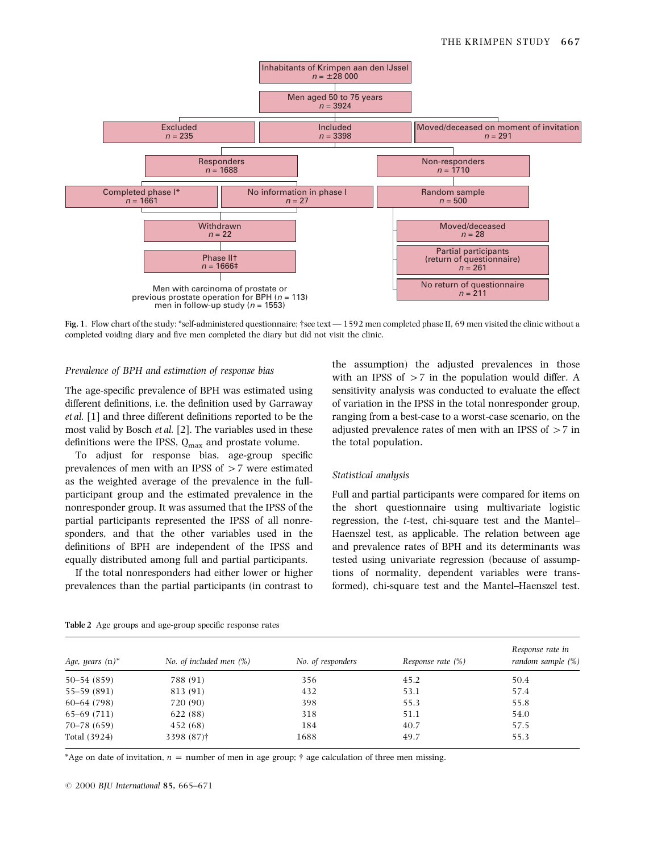

Fig. 1. Flow chart of the study: \*self-administered questionnaire; †see text  $-1592$  men completed phase II, 69 men visited the clinic without a completed voiding diary and five men completed the diary but did not visit the clinic.

#### Prevalence of BPH and estimation of response bias

The age-specific prevalence of BPH was estimated using different definitions, i.e. the definition used by Garraway  $et al.$  [1] and three different definitions reported to be the most valid by Bosch et al. [2]. The variables used in these definitions were the IPSS,  $Q_{\text{max}}$  and prostate volume.

To adjust for response bias, age-group specific prevalences of men with an IPSS of  $>7$  were estimated as the weighted average of the prevalence in the fullparticipant group and the estimated prevalence in the nonresponder group. It was assumed that the IPSS of the partial participants represented the IPSS of all nonresponders, and that the other variables used in the definitions of BPH are independent of the IPSS and equally distributed among full and partial participants.

If the total nonresponders had either lower or higher prevalences than the partial participants (in contrast to the assumption) the adjusted prevalences in those with an IPSS of  $>7$  in the population would differ. A sensitivity analysis was conducted to evaluate the effect of variation in the IPSS in the total nonresponder group, ranging from a best-case to a worst-case scenario, on the adjusted prevalence rates of men with an IPSS of  $>7$  in the total population.

#### Statistical analysis

Full and partial participants were compared for items on the short questionnaire using multivariate logistic regression, the t-test, chi-square test and the Mantel-Haenszel test, as applicable. The relation between age and prevalence rates of BPH and its determinants was tested using univariate regression (because of assumptions of normality, dependent variables were transformed), chi-square test and the Mantel-Haenszel test.

| Age, years $(n)^*$ | No. of included men $(\%)$ | No. of responders | Response rate (%) | Response rate in<br>random sample (%) |
|--------------------|----------------------------|-------------------|-------------------|---------------------------------------|
| $50 - 54(859)$     | 788 (91)                   | 356               | 45.2              | 50.4                                  |
| 55–59 (891)        | 813 (91)                   | 432               | 53.1              | 57.4                                  |
| $60-64(798)$       | 720 (90)                   | 398               | 55.3              | 55.8                                  |
| $65-69(711)$       | 622 (88)                   | 318               | 51.1              | 54.0                                  |
| $70 - 78(659)$     | 452 (68)                   | 184               | 40.7              | 57.5                                  |
| Total (3924)       | 3398 (87) <sup>†</sup>     | 1688              | 49.7              | 55.3                                  |

Table 2 Age groups and age-group specific response rates

\*Age on date of invitation,  $n =$  number of men in age group;  $\dagger$  age calculation of three men missing.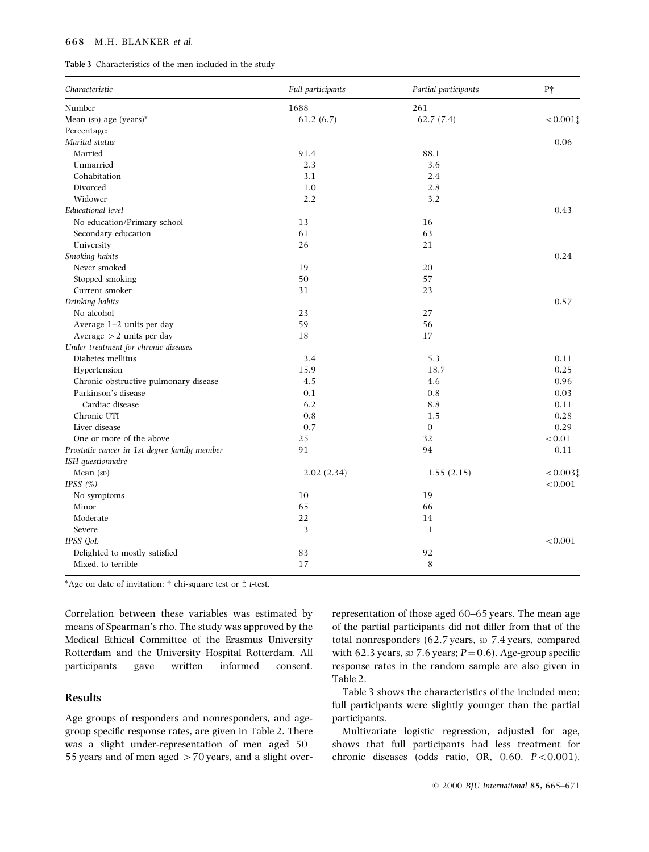#### 668 M.H. BLANKER et al.

| Table 3 Characteristics of the men included in the study |  |
|----------------------------------------------------------|--|
|----------------------------------------------------------|--|

| Characteristic                               | Full participants | Partial participants | P <sup>+</sup> |
|----------------------------------------------|-------------------|----------------------|----------------|
| Number                                       | 1688              | 261                  |                |
| Mean ( $SD$ ) age ( $years$ )*               | 61.2(6.7)         | 62.7(7.4)            | $< 0.001$ ‡    |
| Percentage:                                  |                   |                      |                |
| Marital status                               |                   |                      | 0.06           |
| Married                                      | 91.4              | 88.1                 |                |
| Unmarried                                    | 2.3               | 3.6                  |                |
| Cohabitation                                 | 3.1               | 2.4                  |                |
| Divorced                                     | 1.0               | 2.8                  |                |
| Widower                                      | 2.2               | 3.2                  |                |
| Educational level                            |                   |                      | 0.43           |
| No education/Primary school                  | 13                | 16                   |                |
| Secondary education                          | 61                | 63                   |                |
| University                                   | 26                | 21                   |                |
| Smoking habits                               |                   |                      | 0.24           |
| Never smoked                                 | 19                | 20                   |                |
| Stopped smoking                              | 50                | 57                   |                |
| Current smoker                               | 31                | 23                   |                |
| Drinking habits                              |                   |                      | 0.57           |
| No alcohol                                   | 23                | 27                   |                |
| Average 1-2 units per day                    | 59                | 56                   |                |
| Average $>2$ units per day                   | 18                | 17                   |                |
| Under treatment for chronic diseases         |                   |                      |                |
| Diabetes mellitus                            | 3.4               | 5.3                  | 0.11           |
| Hypertension                                 | 15.9              | 18.7                 | 0.25           |
| Chronic obstructive pulmonary disease        | 4.5               | 4.6                  | 0.96           |
| Parkinson's disease                          | 0.1               | 0.8                  | 0.03           |
| Cardiac disease                              | 6.2               | 8.8                  | 0.11           |
| Chronic UTI                                  | 0.8               | 1.5                  | 0.28           |
| Liver disease                                | 0.7               | $\theta$             | 0.29           |
| One or more of the above                     | 25                | 32                   | < 0.01         |
| Prostatic cancer in 1st degree family member | 91                | 94                   | 0.11           |
| ISH questionnaire                            |                   |                      |                |
| Mean (sp)                                    | 2.02(2.34)        | 1.55(2.15)           | $< 0.003$ ‡    |
| IPSS $(%)$                                   |                   |                      | < 0.001        |
| No symptoms                                  | 10                | 19                   |                |
| Minor                                        | 65                | 66                   |                |
| Moderate                                     | 22                | 14                   |                |
| Severe                                       | 3                 | $\mathbf{1}$         |                |
| IPSS QoL                                     |                   |                      | < 0.001        |
| Delighted to mostly satisfied                | 83                | 92                   |                |
| Mixed, to terrible                           | 17                | 8                    |                |

\*Age on date of invitation;  $\dagger$  chi-square test or  $\dagger$  t-test.

Correlation between these variables was estimated by means of Spearman's rho. The study was approved by the Medical Ethical Committee of the Erasmus University Rotterdam and the University Hospital Rotterdam. All participants gave written informed consent.

# Results

Age groups of responders and nonresponders, and agegroup specific response rates, are given in Table 2. There was a slight under-representation of men aged 50-55 years and of men aged  $>70$  years, and a slight overrepresentation of those aged 60-65 years. The mean age of the partial participants did not differ from that of the total nonresponders (62.7 years, sp 7.4 years, compared with 62.3 years, sp 7.6 years;  $P=0.6$ ). Age-group specific response rates in the random sample are also given in Table 2.

Table 3 shows the characteristics of the included men; full participants were slightly younger than the partial participants.

Multivariate logistic regression, adjusted for age, shows that full participants had less treatment for chronic diseases (odds ratio, OR,  $0.60$ ,  $P < 0.001$ ),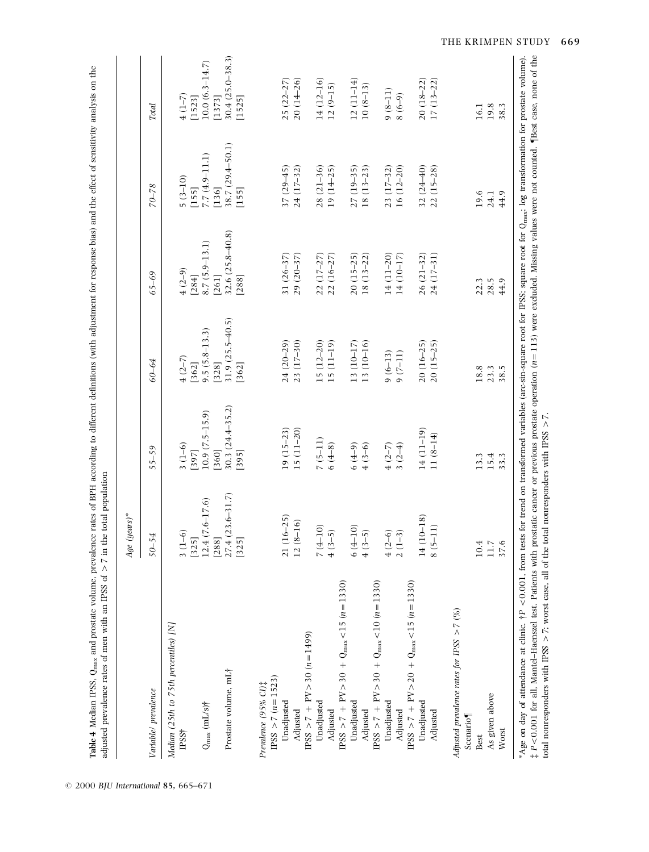|                                                                                        | $Age (years)*$                          |                                       |                                           |                                       |                                      |                                         |
|----------------------------------------------------------------------------------------|-----------------------------------------|---------------------------------------|-------------------------------------------|---------------------------------------|--------------------------------------|-----------------------------------------|
| Variable/ prevalence                                                                   | $50 - 54$                               | $55 - 59$                             | 60-64                                     | $65 - 69$                             | $70 - 78$                            | Total                                   |
| Median (25th to 75th percentiles) [N]<br>$\text{PSS}^+$                                | $3(1-6)$                                | $3(1-6)$                              | $4(2-7)$                                  | $(2-9)$                               | $5(3-10)$                            | $(1 - 7)$                               |
| $Q_{\rm max}$ (mL/s)†                                                                  | $12.4(7.6-17.6)$<br>$[325]$             | $10.9(7.5-15.9)$<br>[397]             | $9.5(5.8-13.3)$<br>$[362]$                | $8.7(5.9 - 13.1)$<br>[284]            | $7.7(4.9 - 11.1)$<br>$[155]$         | $10.0 (6.3 - 14.7)$<br>[1523]           |
| Prostate volume, mL†                                                                   | $27.4(23.6 - 31.7)$<br>[288]<br>$[325]$ | $30.3(24.4 - 35.2)$<br>[360]<br>[395] | $31.9(25.5 - 40.5)$<br>$[328]$<br>$[362]$ | $32.6(25.8 - 40.8)$<br>[288]<br>[261] | 38.7 (29.4-50.1)<br>[136]<br>$[155]$ | $30.4(25.0 - 38.3)$<br>[1373]<br>[1525] |
| $PSS > 7 (n = 1523)$<br>Prevalence (95% CI) <sup>†</sup>                               |                                         |                                       |                                           |                                       |                                      |                                         |
| Unadjusted<br>Adjusted                                                                 | $.6 - 25$<br>$12(8-16)$<br>21(1)        | $19(15-23)$<br>$15(11-20)$            | 23 (17-30)<br>$24(20-29)$                 | $31(26-37)$<br>$29(20 - 37)$          | $37(29 - 45)$<br>24 (17-32)          | $20(14 - 26)$<br>$25(22 - 27)$          |
| $PSS > 7 + PV > 30 (n=1499)$                                                           |                                         |                                       |                                           |                                       |                                      |                                         |
| Unadjusted                                                                             | $7(4-10)$                               | $7(5-11)$                             | $15(12-20)$                               | $22(17-27)$                           | $28(21-36)$                          | $14(12-16)$                             |
| $\text{IPSS} > 7 + \text{PV} > 30 + \text{Q}_{\text{max}} < 15 (n = 1330)$<br>Adjusted | $4(3-5)$                                | $6(4-8)$                              | $15(11-19)$                               | $22(16-27)$                           | $19(14-25)$                          | $12(9 - 15)$                            |
| Unadjusted                                                                             | $6(4-10)$                               | $(6 + 9)$                             | 13 (10-17)                                | $20(15-25)$                           | $27(19-35)$                          | $12(11-14)$                             |
| Adjusted                                                                               | $4(3-5)$                                | $4(3-6)$                              | $13(10-16)$                               | $18(13-22)$                           | $18(13-23)$                          | $10(8-13)$                              |
| IPSS $> 7 + PV > 30 + Q_{max} < 10 (n = 1330)$                                         |                                         |                                       |                                           |                                       |                                      |                                         |
| Unadjusted<br>Adjusted                                                                 | $4(2-6)$<br>$2(1-3)$                    | $3(2-4)$<br>$4(2-7)$                  | $9(7-11)$<br>$9(6-13)$                    | 14 (11-20)<br>14 (10–17)              | $16(12 - 20)$<br>$23(17-32)$         | $9(8-11)$<br>$(6-9)$                    |
| IPSS > 7 + PV > 20 + Q <sub>max</sub> < 15 (n = 1330)                                  |                                         |                                       |                                           |                                       |                                      |                                         |
| Unadjusted<br>Adjusted                                                                 | 14 (10-18)<br>$8(5-11)$                 | $14(11-19)$<br>$11(8-14)$             | $20(16-25)$<br>$20(15-25)$                | $26(21-32)$<br>24 (17-31)             | $32(24-40)$<br>$22(15-28)$           | $20(18-22)$<br>$17(13-22)$              |
| Adjusted prevalence rates for IPSS $> 7$ (%)                                           |                                         |                                       |                                           |                                       |                                      |                                         |
| Scenario <sup>1</sup><br>Best                                                          | 10.4                                    | 13.3                                  | 18.8                                      | 22.3                                  | 19.6                                 | 16.1                                    |
| As given above                                                                         | $11.7$                                  | 15.4                                  | 23.3                                      | 28.5                                  | 24.1                                 | 19.8                                    |
| Worst                                                                                  | 37.6                                    | 33.3                                  | 38.5                                      | 44.9                                  | 44.9                                 | 38.3                                    |

 $© 2000 BJU International 85, 665–671$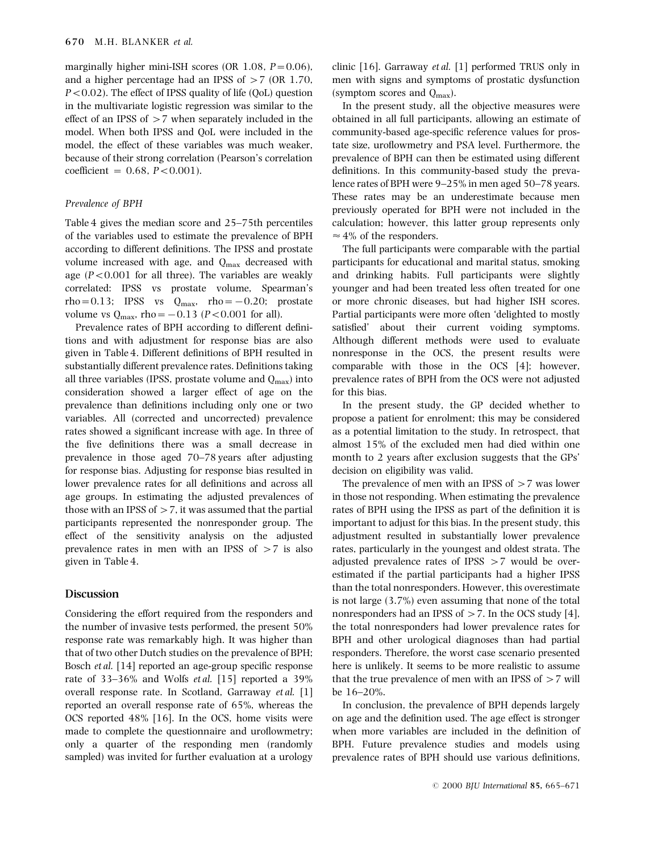marginally higher mini-ISH scores (OR  $1.08$ ,  $P = 0.06$ ), and a higher percentage had an IPSS of  $>7$  (OR 1.70,  $P < 0.02$ ). The effect of IPSS quality of life (QoL) question in the multivariate logistic regression was similar to the effect of an IPSS of  $>7$  when separately included in the model. When both IPSS and QoL were included in the model, the effect of these variables was much weaker, because of their strong correlation (Pearson's correlation  $coefficient = 0.68, P < 0.001$ .

#### Prevalence of BPH

Table 4 gives the median score and  $25-75$ th percentiles of the variables used to estimate the prevalence of BPH according to different definitions. The IPSS and prostate volume increased with age, and  $Q_{\text{max}}$  decreased with age  $(P<0.001$  for all three). The variables are weakly correlated: IPSS vs prostate volume, Spearman's rho=0.13; IPSS vs  $Q_{\text{max}}$ , rho=-0.20; prostate volume vs  $Q_{\text{max}}$ , rho = -0.13 (P < 0.001 for all).

Prevalence rates of BPH according to different definitions and with adjustment for response bias are also given in Table 4. Different definitions of BPH resulted in substantially different prevalence rates. Definitions taking all three variables (IPSS, prostate volume and  $Q_{\text{max}}$ ) into consideration showed a larger effect of age on the prevalence than definitions including only one or two variables. All (corrected and uncorrected) prevalence rates showed a significant increase with age. In three of the five definitions there was a small decrease in prevalence in those aged  $70-78$  years after adjusting for response bias. Adjusting for response bias resulted in lower prevalence rates for all definitions and across all age groups. In estimating the adjusted prevalences of those with an IPSS of  $>$  7, it was assumed that the partial participants represented the nonresponder group. The effect of the sensitivity analysis on the adjusted prevalence rates in men with an IPSS of  $>7$  is also given in Table 4.

## **Discussion**

Considering the effort required from the responders and the number of invasive tests performed, the present 50% response rate was remarkably high. It was higher than that of two other Dutch studies on the prevalence of BPH; Bosch et al.  $[14]$  reported an age-group specific response rate of  $33-36\%$  and Wolfs *et al.* [15] reported a 39% overall response rate. In Scotland, Garraway et al. [1] reported an overall response rate of 65%, whereas the OCS reported 48% [16]. In the OCS, home visits were made to complete the questionnaire and uroflowmetry; only a quarter of the responding men (randomly sampled) was invited for further evaluation at a urology clinic [16]. Garraway et al. [1] performed TRUS only in men with signs and symptoms of prostatic dysfunction (symptom scores and  $Q_{\text{max}}$ ).

In the present study, all the objective measures were obtained in all full participants, allowing an estimate of community-based age-specific reference values for prostate size, uroflowmetry and PSA level. Furthermore, the prevalence of BPH can then be estimated using different definitions. In this community-based study the prevalence rates of BPH were  $9-25\%$  in men aged 50-78 years. These rates may be an underestimate because men previously operated for BPH were not included in the calculation; however, this latter group represents only  $\approx$  4% of the responders.

The full participants were comparable with the partial participants for educational and marital status, smoking and drinking habits. Full participants were slightly younger and had been treated less often treated for one or more chronic diseases, but had higher ISH scores. Partial participants were more often `delighted to mostly satisfied' about their current voiding symptoms. Although different methods were used to evaluate nonresponse in the OCS, the present results were comparable with those in the OCS [4]; however, prevalence rates of BPH from the OCS were not adjusted for this bias.

In the present study, the GP decided whether to propose a patient for enrolment; this may be considered as a potential limitation to the study. In retrospect, that almost 15% of the excluded men had died within one month to 2 years after exclusion suggests that the GPs' decision on eligibility was valid.

The prevalence of men with an IPSS of  $>7$  was lower in those not responding. When estimating the prevalence rates of BPH using the IPSS as part of the definition it is important to adjust for this bias. In the present study, this adjustment resulted in substantially lower prevalence rates, particularly in the youngest and oldest strata. The adjusted prevalence rates of IPSS  $>7$  would be overestimated if the partial participants had a higher IPSS than the total nonresponders. However, this overestimate is not large (3.7%) even assuming that none of the total nonresponders had an IPSS of  $>$  7. In the OCS study [4], the total nonresponders had lower prevalence rates for BPH and other urological diagnoses than had partial responders. Therefore, the worst case scenario presented here is unlikely. It seems to be more realistic to assume that the true prevalence of men with an IPSS of  $>7$  will be  $16-20%$ .

In conclusion, the prevalence of BPH depends largely on age and the definition used. The age effect is stronger when more variables are included in the definition of BPH. Future prevalence studies and models using prevalence rates of BPH should use various definitions,